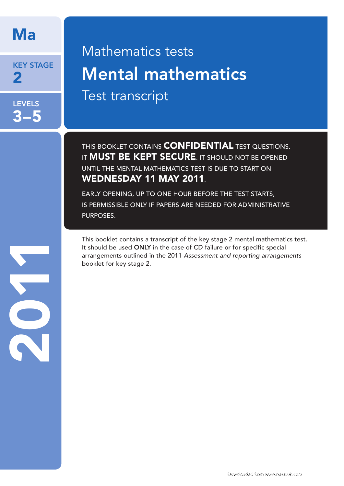# Ma

KEY STAGE 2

LEVELS 3–5

# Mathematics tests Mental mathematics Test transcript

THIS BOOKLET CONTAINS **CONFIDENTIAL** TEST QUESTIONS. IT **MUST BE KEPT SECURE**. IT SHOULD NOT BE OPENED UNTIL THE MENTAL MATHEMATICS TEST IS DUE TO START ON WEDNESDAY 11 MAY 2011.

EARLY OPENING, UP TO ONE HOUR BEFORE THE TEST STARTS, IS PERMISSIBLE ONLY IF PAPERS ARE NEEDED FOR ADMINISTRATIVE PURPOSES.

This booklet contains a transcript of the key stage 2 mental mathematics test. It should be used ONLY in the case of CD failure or for specific special arrangements outlined in the 2011 *Assessment and reporting arrangements*  booklet for key stage 2.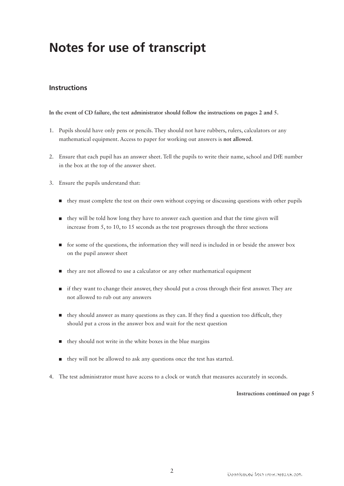# **Notes for use of transcript**

# **Instructions**

#### **In the event of CD failure, the test administrator should follow the instructions on pages 2 and 5.**

- 1. Pupils should have only pens or pencils. They should not have rubbers, rulers, calculators or any mathematical equipment. Access to paper for working out answers is **not allowed**.
- 2. Ensure that each pupil has an answer sheet. Tell the pupils to write their name, school and DfE number in the box at the top of the answer sheet.
- 3. Ensure the pupils understand that:
	- they must complete the test on their own without copying or discussing questions with other pupils
	- $\blacksquare$  they will be told how long they have to answer each question and that the time given will increase from 5, to 10, to 15 seconds as the test progresses through the three sections
	- **for some of the questions, the information they will need is included in or beside the answer box**  on the pupil answer sheet
	- they are not allowed to use a calculator or any other mathematical equipment
	- $\blacksquare$  if they want to change their answer, they should put a cross through their first answer. They are not allowed to rub out any answers
	- $\blacksquare$  they should answer as many questions as they can. If they find a question too difficult, they should put a cross in the answer box and wait for the next question
	- $\blacksquare$  they should not write in the white boxes in the blue margins
	- they will not be allowed to ask any questions once the test has started.
- 4. The test administrator must have access to a clock or watch that measures accurately in seconds.

#### **Instructions continued on page 5**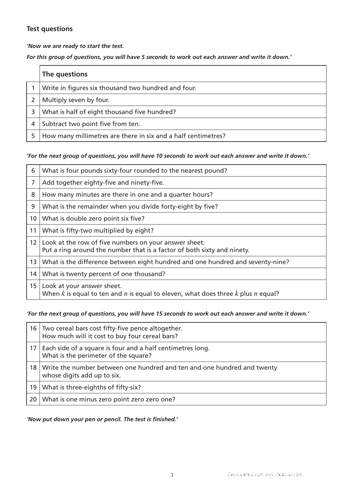# **Test questions**

*'Now we are ready to start the test.* 

*For this group of questions, you will have 5 seconds to work out each answer and write it down.'*

|   | The questions                                                 |
|---|---------------------------------------------------------------|
|   | Write in figures six thousand two hundred and four.           |
|   | Multiply seven by four.                                       |
| 3 | What is half of eight thousand five hundred?                  |
| 4 | Subtract two point five from ten.                             |
|   | How many millimetres are there in six and a half centimetres? |

## *'For the next group of questions, you will have 10 seconds to work out each answer and write it down.'*

| 6               | What is four pounds sixty-four rounded to the nearest pound?                                                                     |
|-----------------|----------------------------------------------------------------------------------------------------------------------------------|
| 7               | Add together eighty-five and ninety-five.                                                                                        |
| 8               | How many minutes are there in one and a quarter hours?                                                                           |
| 9               | What is the remainder when you divide forty-eight by five?                                                                       |
| 10 <sup>°</sup> | What is double zero point six five?                                                                                              |
| 11              | What is fifty-two multiplied by eight?                                                                                           |
| 12 <sup>1</sup> | Look at the row of five numbers on your answer sheet.<br>Put a ring around the number that is a factor of both sixty and ninety. |
| 13              | What is the difference between eight hundred and one hundred and seventy-nine?                                                   |
| 14              | What is twenty percent of one thousand?                                                                                          |
| 15              | Look at your answer sheet.<br>When k is equal to ten and n is equal to eleven, what does three k plus n equal?                   |

## *'For the next group of questions, you will have 15 seconds to work out each answer and write it down.'*

| 16 <sup>1</sup> | Two cereal bars cost fifty-five pence altogether.<br>How much will it cost to buy four cereal bars?    |
|-----------------|--------------------------------------------------------------------------------------------------------|
| 17 I            | Each side of a square is four and a half centimetres long.<br>What is the perimeter of the square?     |
| 18              | Write the number between one hundred and ten and one hundred and twenty<br>whose digits add up to six. |
| 19              | What is three-eighths of fifty-six?                                                                    |
| 20              | What is one minus zero point zero zero one?                                                            |

## *'Now put down your pen or pencil. The test is finished.'*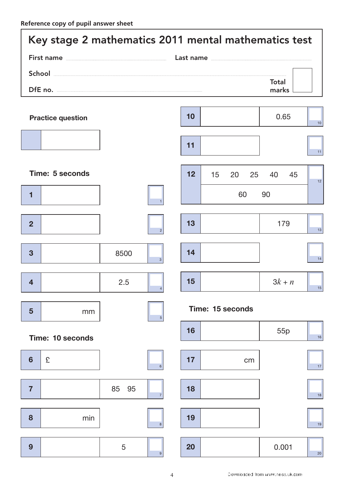